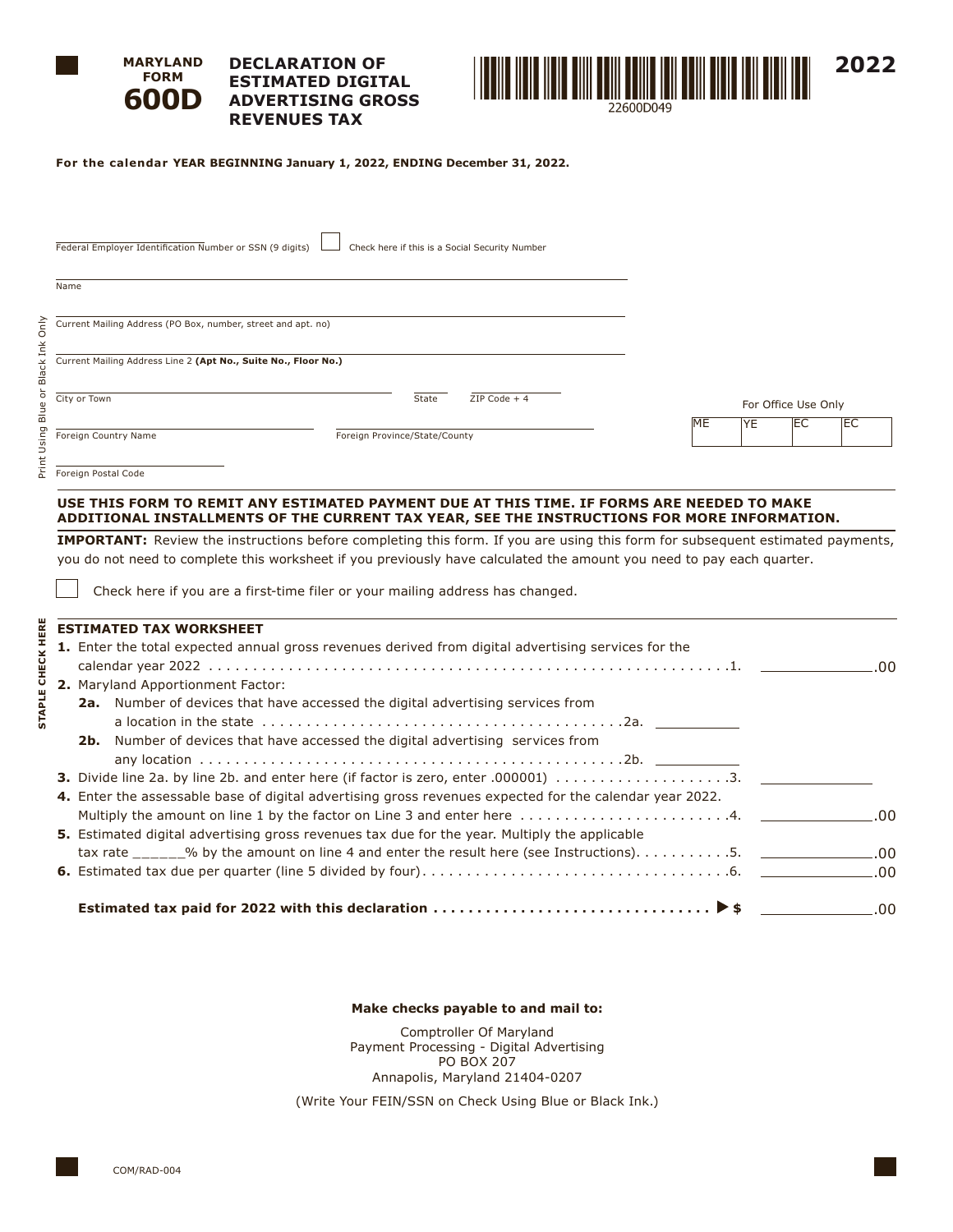

**FORM**

#### **MARYLAND 600D DECLARATION OF ESTIMATED DIGITAL ADVERTISING GROSS REVENUES TAX**



**For the calendar YEAR BEGINNING January 1, 2022, ENDING December 31, 2022.**

| Federal Employer Identification Number or SSN (9 digits)       |                               | Check here if this is a Social Security Number |    |           |                     |            |
|----------------------------------------------------------------|-------------------------------|------------------------------------------------|----|-----------|---------------------|------------|
| Name                                                           |                               |                                                |    |           |                     |            |
| Current Mailing Address (PO Box, number, street and apt. no)   |                               |                                                |    |           |                     |            |
| Current Mailing Address Line 2 (Apt No., Suite No., Floor No.) |                               |                                                |    |           |                     |            |
| City or Town                                                   | State                         | $ZIP Code + 4$                                 |    |           | For Office Use Only |            |
| Foreign Country Name                                           | Foreign Province/State/County |                                                | ME | <b>YE</b> | EC                  | <b>IEC</b> |
|                                                                |                               |                                                |    |           |                     |            |

Foreign Postal Code

Print Using Blue or Black Ink Only

Print Using Blue or Black Ink Only

**STAPLE CHECK HERE**

**STAPLE CHECK HERE** 

## **USE THIS FORM TO REMIT ANY ESTIMATED PAYMENT DUE AT THIS TIME. IF FORMS ARE NEEDED TO MAKE ADDITIONAL INSTALLMENTS OF THE CURRENT TAX YEAR, SEE THE INSTRUCTIONS FOR MORE INFORMATION.**

**IMPORTANT:** Review the instructions before completing this form. If you are using this form for subsequent estimated payments, you do not need to complete this worksheet if you previously have calculated the amount you need to pay each quarter.

Check here if you are a first-time filer or your mailing address has changed.

|  | <b>ESTIMATED TAX WORKSHEET</b>                                                                          |  |  |  |  |  |  |
|--|---------------------------------------------------------------------------------------------------------|--|--|--|--|--|--|
|  | 1. Enter the total expected annual gross revenues derived from digital advertising services for the     |  |  |  |  |  |  |
|  |                                                                                                         |  |  |  |  |  |  |
|  | <b>2.</b> Maryland Apportionment Factor:                                                                |  |  |  |  |  |  |
|  | <b>2a.</b> Number of devices that have accessed the digital advertising services from                   |  |  |  |  |  |  |
|  |                                                                                                         |  |  |  |  |  |  |
|  | <b>2b.</b> Number of devices that have accessed the digital advertising services from                   |  |  |  |  |  |  |
|  |                                                                                                         |  |  |  |  |  |  |
|  |                                                                                                         |  |  |  |  |  |  |
|  | 4. Enter the assessable base of digital advertising gross revenues expected for the calendar year 2022. |  |  |  |  |  |  |
|  |                                                                                                         |  |  |  |  |  |  |
|  | 5. Estimated digital advertising gross revenues tax due for the year. Multiply the applicable           |  |  |  |  |  |  |
|  |                                                                                                         |  |  |  |  |  |  |
|  |                                                                                                         |  |  |  |  |  |  |
|  |                                                                                                         |  |  |  |  |  |  |
|  |                                                                                                         |  |  |  |  |  |  |

### **Make checks payable to and mail to:**

Comptroller Of Maryland Payment Processing - Digital Advertising PO BOX 207 Annapolis, Maryland 21404-0207

(Write Your FEIN/SSN on Check Using Blue or Black Ink.)

COM/RAD-004